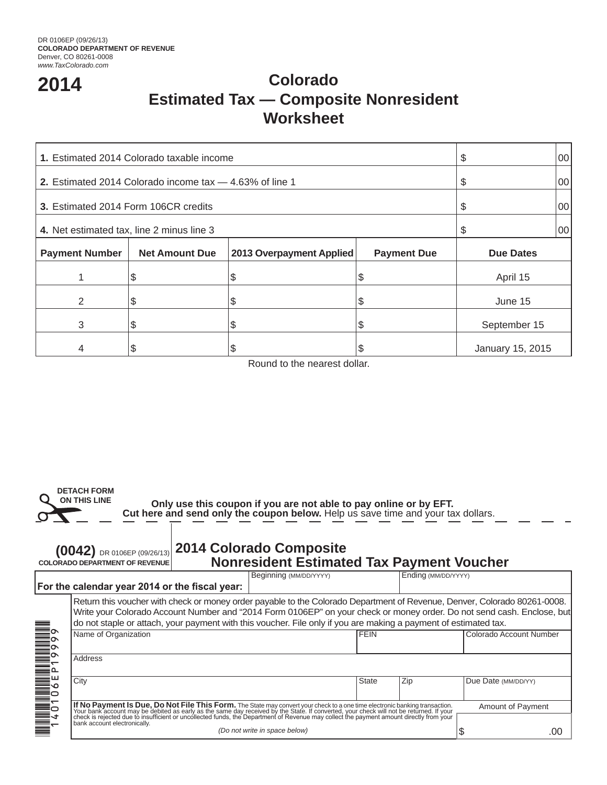# **2014 Colorado Estimated Tax — Composite Nonresident Worksheet**

| 1. Estimated 2014 Colorado taxable income                 | \$                    | 00                       |                    |                  |  |
|-----------------------------------------------------------|-----------------------|--------------------------|--------------------|------------------|--|
| 2. Estimated 2014 Colorado income tax $-4.63\%$ of line 1 | S                     | 00                       |                    |                  |  |
| 3. Estimated 2014 Form 106CR credits                      | \$                    | 00                       |                    |                  |  |
| 4. Net estimated tax, line 2 minus line 3                 | \$                    | 00                       |                    |                  |  |
| <b>Payment Number</b>                                     | <b>Net Amount Due</b> | 2013 Overpayment Applied | <b>Payment Due</b> | <b>Due Dates</b> |  |
|                                                           | S                     | Φ                        | S                  | April 15         |  |
| 2                                                         |                       |                          |                    | June 15          |  |
| 3                                                         |                       |                          | J                  | September 15     |  |
| 4                                                         |                       |                          | S                  | January 15, 2015 |  |

Round to the nearest dollar.



 **Cut here and send only the coupon below.** Help us save time and your tax dollars. **Only use this coupon if you are not able to pay online or by EFT.**

## **2014 Colorado Composite (0042)** DR 0106EP (09/26/13) **COLORADO DEPARTMENT OF REVENUENonresident Estimated Tax Payment Voucher**

|                 |                                                                                                                                                                                                                                                                                                                                                                         |  | Beginning (MM/DD/YYYY)        |             | Ending (MM/DD/YYYY) |                          |     |  |  |
|-----------------|-------------------------------------------------------------------------------------------------------------------------------------------------------------------------------------------------------------------------------------------------------------------------------------------------------------------------------------------------------------------------|--|-------------------------------|-------------|---------------------|--------------------------|-----|--|--|
|                 | For the calendar year 2014 or the fiscal year:                                                                                                                                                                                                                                                                                                                          |  |                               |             |                     |                          |     |  |  |
|                 | Return this voucher with check or money order payable to the Colorado Department of Revenue, Denver, Colorado 80261-0008.<br>Write your Colorado Account Number and "2014 Form 0106EP" on your check or money order. Do not send cash. Enclose, but<br>do not staple or attach, your payment with this voucher. File only if you are making a payment of estimated tax. |  |                               |             |                     |                          |     |  |  |
| ≣∘              | Name of Organization                                                                                                                                                                                                                                                                                                                                                    |  |                               | <b>FEIN</b> |                     | Colorado Account Number  |     |  |  |
|                 | Address                                                                                                                                                                                                                                                                                                                                                                 |  |                               |             |                     |                          |     |  |  |
| ш               | City                                                                                                                                                                                                                                                                                                                                                                    |  |                               | State       | Zip                 | Due Date (MM/DD/YY)      |     |  |  |
| <b>THE STAR</b> | If No Payment Is Due, Do Not File This Form. The State may convert your check to a one time electronic banking transaction.<br>The research that in the debited as early as the same day received by the State. If converted, you<br>bank account electronically.                                                                                                       |  |                               |             |                     | <b>Amount of Payment</b> |     |  |  |
|                 |                                                                                                                                                                                                                                                                                                                                                                         |  | (Do not write in space below) |             |                     |                          | .00 |  |  |